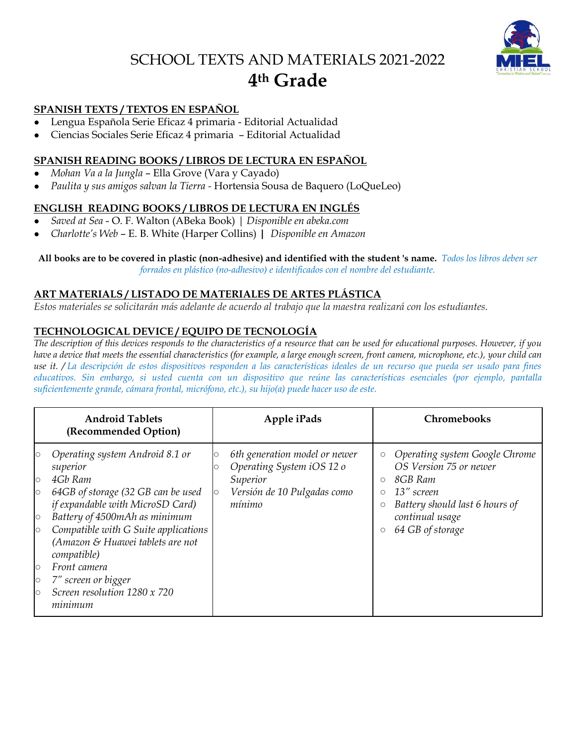# SCHOOL TEXTS AND MATERIALS 2021-2022 **4 th Grade**



#### **SPANISH TEXTS / TEXTOS EN ESPAÑOL**

- Lengua Española Serie Eficaz 4 primaria Editorial Actualidad
- Ciencias Sociales Serie Eficaz 4 primaria Editorial Actualidad

#### **SPANISH READING BOOKS / LIBROS DE LECTURA EN ESPAÑOL**

- *Mohan Va a la Jungla* Ella Grove (Vara y Cayado)
- *Paulita y sus amigos salvan la Tierra -* Hortensia Sousa de Baquero (LoQueLeo)

## **ENGLISH READING BOOKS / LIBROS DE LECTURA EN INGLÉS**

- *Saved at Sea* O. F. Walton (ABeka Book) | *Disponible en abeka.com*
- *Charlotte's Web* E. B. White (Harper Collins) **|** *Disponible en Amazon*

## **All books are to be covered in plastic (non-adhesive) and identified with the student 's name.** *Todos los libros deben ser*

*forrados en plástico (no-adhesivo) e identificados con el nombre del estudiante.*

#### **ART MATERIALS / LISTADO DE MATERIALES DE ARTES PLÁSTICA**

*Estos materiales se solicitarán más adelante de acuerdo al trabajo que la maestra realizará con los estudiantes.* 

# **TECHNOLOGICAL DEVICE / EQUIPO DE TECNOLOGÍA**

*The description of this devices responds to the characteristics of a resource that can be used for educational purposes. However, if you have a device that meets the essential characteristics (for example, a large enough screen, front camera, microphone, etc.), your child can use it. / La descripción de estos dispositivos responden a las características ideales de un recurso que pueda ser usado para fines educativos. Sin embargo, si usted cuenta con un dispositivo que reúne las características esenciales (por ejemplo, pantalla suficientemente grande, cámara frontal, micrófono, etc.), su hijo(a) puede hacer uso de este.*

| <b>Android Tablets</b><br>(Recommended Option)                                                                                                                                                                                                                                                                                                                                                                                         | Apple iPads                                                                                                     | <b>Chromebooks</b>                                                                                                                                                                                                   |
|----------------------------------------------------------------------------------------------------------------------------------------------------------------------------------------------------------------------------------------------------------------------------------------------------------------------------------------------------------------------------------------------------------------------------------------|-----------------------------------------------------------------------------------------------------------------|----------------------------------------------------------------------------------------------------------------------------------------------------------------------------------------------------------------------|
| Operating system Android 8.1 or<br>$\circ$<br>superior<br>4Gb Ram<br>$\circ$<br>64GB of storage (32 GB can be used<br>$\circ$<br>if expandable with MicroSD Card)<br>Battery of 4500mAh as minimum<br>$\circ$<br>Compatible with G Suite applications<br>$\circ$<br>(Amazon & Huawei tablets are not<br>compatible)<br>Front camera<br>$\circ$<br>7" screen or bigger<br>$\circ$<br>Screen resolution 1280 x 720<br>$\circ$<br>minimum | 6th generation model or newer<br>Operating System iOS 12 o<br>Superior<br>Versión de 10 Pulgadas como<br>mínimo | Operating system Google Chrome<br>$\bigcirc$<br>OS Version 75 or newer<br>8GB Ram<br>$\circ$<br>13" screen<br>O<br>Battery should last 6 hours of<br>О<br>continual usage<br>64 GB of storage<br>$\circlearrowright$ |